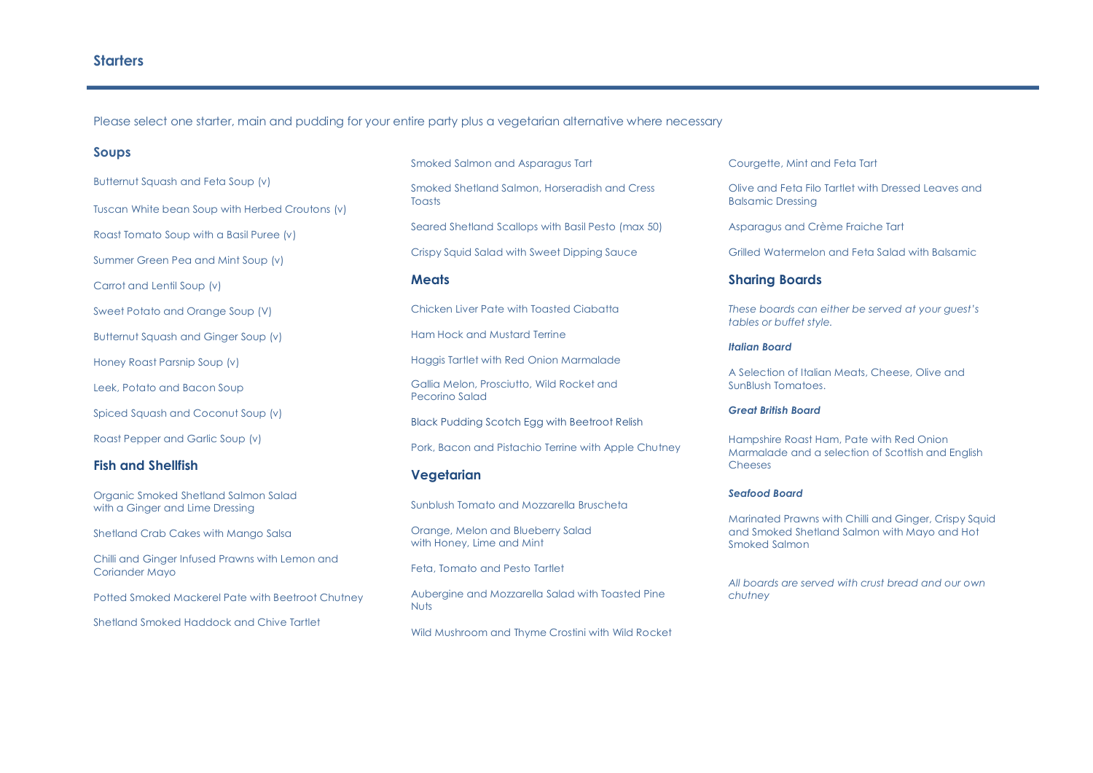## **Starters**

Please select one starter, main and pudding for your entire party plus a vegetarian alternative where necessary

### **Soups**

Butternut Squash and Feta Soup (v)

Tuscan White bean Soup with Herbed Croutons (v)

Roast Tomato Soup with a Basil Puree (v)

Summer Green Pea and Mint Soup (v)

Carrot and Lentil Soup (v)

Sweet Potato and Orange Soup (V)

Butternut Squash and Ginger Soup (v)

Honey Roast Parsnip Soup (v)

Leek, Potato and Bacon Soup

Spiced Squash and Coconut Soup (v)

Roast Pepper and Garlic Soup (v)

## **Fish and Shellfish**

Organic Smoked Shetland Salmon Salad with a Ginger and Lime Dressing

Shetland Crab Cakes with Mango Salsa

Chilli and Ginger Infused Prawns with Lemon and Coriander Mayo

Potted Smoked Mackerel Pate with Beetroot Chutney

Shetland Smoked Haddock and Chive Tartlet

Smoked Salmon and Asparagus Tart

Smoked Shetland Salmon, Horseradish and Cress Toasts

Seared Shetland Scallops with Basil Pesto (max 50)

Crispy Squid Salad with Sweet Dipping Sauce

### **Meats**

Chicken Liver Pate with Toasted Ciabatta

Ham Hock and Mustard Terrine

Haggis Tartlet with Red Onion Marmalade

Gallia Melon, Prosciutto, Wild Rocket and Pecorino Salad

Black Pudding Scotch Egg with Beetroot Relish

Pork, Bacon and Pistachio Terrine with Apple Chutney

### **Vegetarian**

Sunblush Tomato and Mozzarella Bruscheta

Orange, Melon and Blueberry Salad with Honey, Lime and Mint

Feta, Tomato and Pesto Tartlet

Aubergine and Mozzarella Salad with Toasted Pine Nuts

Wild Mushroom and Thyme Crostini with Wild Rocket

Courgette, Mint and Feta Tart

Olive and Feta Filo Tartlet with Dressed Leaves and Balsamic Dressing

Asparagus and Crème Fraiche Tart

Grilled Watermelon and Feta Salad with Balsamic

### **Sharing Boards**

*These boards can either be served at your guest's tables or buffet style.*

#### *Italian Board*

A Selection of Italian Meats, Cheese, Olive and SunBlush Tomatoes.

### *Great British Board*

Hampshire Roast Ham, Pate with Red Onion Marmalade and a selection of Scottish and English Cheeses

#### *Seafood Board*

Marinated Prawns with Chilli and Ginger, Crispy Squid and Smoked Shetland Salmon with Mayo and Hot Smoked Salmon

*All boards are served with crust bread and our own chutney*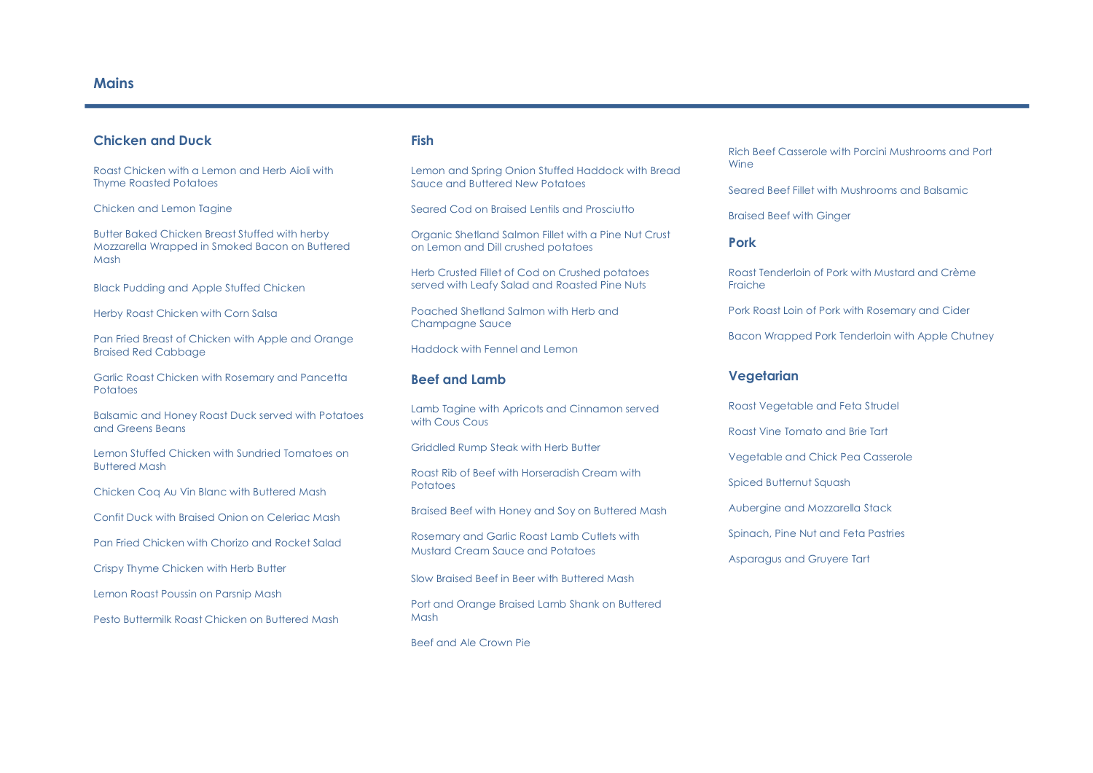# **Chicken and Duck**

Roast Chicken with a Lemon and Herb Aioli with Thyme Roasted Potatoes

Chicken and Lemon Tagine

Butter Baked Chicken Breast Stuffed with herby Mozzarella Wrapped in Smoked Bacon on Buttered Mash

Black Pudding and Apple Stuffed Chicken

Herby Roast Chicken with Corn Salsa

Pan Fried Breast of Chicken with Apple and Orange Braised Red Cabbage

Garlic Roast Chicken with Rosemary and Pancetta **Potatoes** 

Balsamic and Honey Roast Duck served with Potatoes and Greens Beans

Lemon Stuffed Chicken with Sundried Tomatoes on Buttered Mash

Chicken Coq Au Vin Blanc with Buttered Mash

Confit Duck with Braised Onion on Celeriac Mash

Pan Fried Chicken with Chorizo and Rocket Salad

Crispy Thyme Chicken with Herb Butter

Lemon Roast Poussin on Parsnip Mash

Pesto Buttermilk Roast Chicken on Buttered Mash

# **Fish**

Lemon and Spring Onion Stuffed Haddock with Bread Sauce and Buttered New Potatoes

Seared Cod on Braised Lentils and Prosciutto

Organic Shetland Salmon Fillet with a Pine Nut Crust on Lemon and Dill crushed potatoes

Herb Crusted Fillet of Cod on Crushed potatoes served with Leafy Salad and Roasted Pine Nuts

Poached Shetland Salmon with Herb and Champagne Sauce

Haddock with Fennel and Lemon

### **Beef and Lamb**

Lamb Tagine with Apricots and Cinnamon served with Cous Cous

Griddled Rump Steak with Herb Butter

Roast Rib of Beef with Horseradish Cream with Potatoes

Braised Beef with Honey and Soy on Buttered Mash

Rosemary and Garlic Roast Lamb Cutlets with Mustard Cream Sauce and Potatoes

Slow Braised Beef in Beer with Buttered Mash

Port and Orange Braised Lamb Shank on Buttered Mash

Beef and Ale Crown Pie

Rich Beef Casserole with Porcini Mushrooms and Port Wine

Seared Beef Fillet with Mushrooms and Balsamic

Braised Beef with Ginger

## **Pork**

Roast Tenderloin of Pork with Mustard and Crème Fraiche

Pork Roast Loin of Pork with Rosemary and Cider

Bacon Wrapped Pork Tenderloin with Apple Chutney

### **Vegetarian**

Roast Vegetable and Feta Strudel

Roast Vine Tomato and Brie Tart

Vegetable and Chick Pea Casserole

Spiced Butternut Squash

Aubergine and Mozzarella Stack

Spinach, Pine Nut and Feta Pastries

Asparagus and Gruyere Tart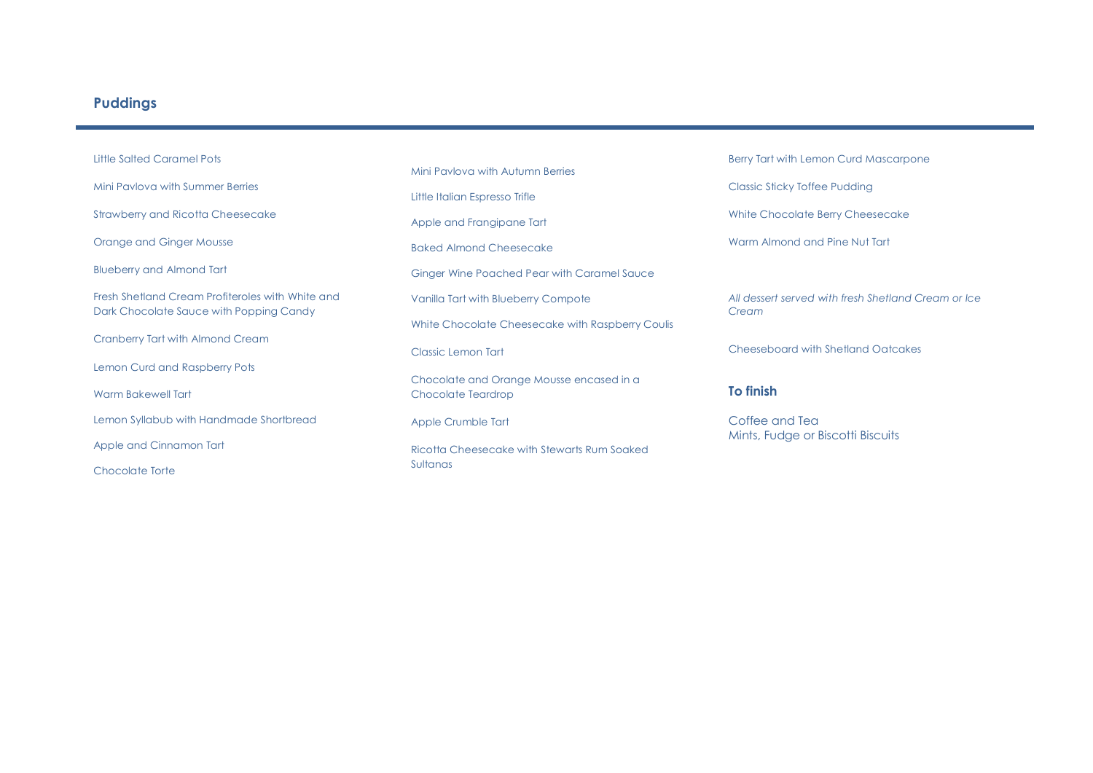# **Puddings**

Little Salted Caramel Pots Mini Pavlova with Summer Berries Strawberry and Ricotta Cheesecake Orange and Ginger Mousse Blueberry and Almond Tart Fresh Shetland Cream Profiteroles with White and Dark Chocolate Sauce with Popping Candy Cranberry Tart with Almond Cream Lemon Curd and Raspberry Pots Warm Bakewell Tart Lemon Syllabub with Handmade Shortbread Apple and Cinnamon Tart Chocolate Torte

Mini Pavlova with Autumn Berries Little Italian Espresso Trifle Apple and Frangipane Tart Baked Almond Cheesecake Ginger Wine Poached Pear with Caramel Sauce Vanilla Tart with Blueberry Compote White Chocolate Cheesecake with Raspberry Coulis Classic Lemon Tart Chocolate and Orange Mousse encased in a Chocolate Teardrop Apple Crumble Tart Ricotta Cheesecake with Stewarts Rum Soaked Sultanas

Berry Tart with Lemon Curd Mascarpone

Classic Sticky Toffee Pudding

White Chocolate Berry Cheesecake

Warm Almond and Pine Nut Tart

*All dessert served with fresh Shetland Cream or Ice Cream*

Cheeseboard with Shetland Oatcakes

# **To finish**

Coffee and Tea Mints, Fudge or Biscotti Biscuits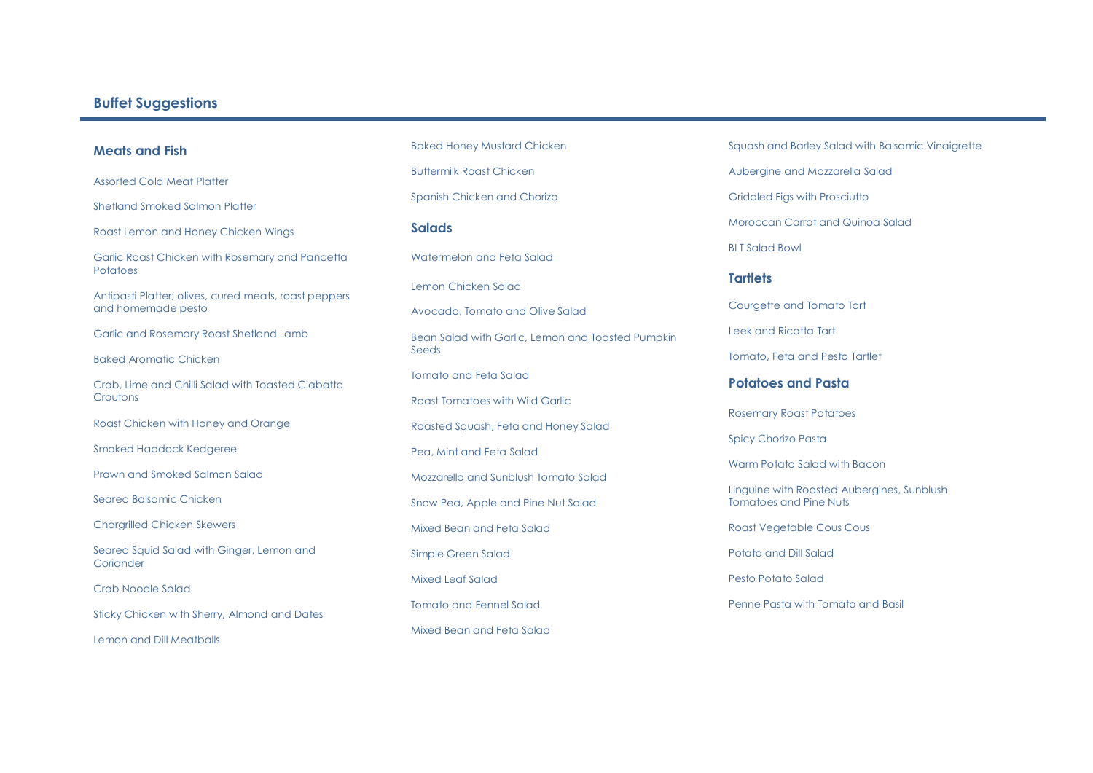# **Buffet Suggestions**

## **Meats and Fish**

Assorted Cold Meat Platter

Shetland Smoked Salmon Platter

Roast Lemon and Honey Chicken Wings

Garlic Roast Chicken with Rosemary and Pancetta **Potatoes** 

Antipasti Platter; olives, cured meats, roast peppers and homemade pesto

Garlic and Rosemary Roast Shetland Lamb

Baked Aromatic Chicken

Crab, Lime and Chilli Salad with Toasted Ciabatta **Croutons** 

Roast Chicken with Honey and Orange

Smoked Haddock Kedgeree

Prawn and Smoked Salmon Salad

Seared Balsamic Chicken

Chargrilled Chicken Skewers

Seared Squid Salad with Ginger, Lemon and Coriander

Crab Noodle Salad

Sticky Chicken with Sherry, Almond and Dates

Lemon and Dill Meatballs

Baked Honey Mustard Chicken Buttermilk Roast Chicken Spanish Chicken and Chorizo

### **Salads**

Watermelon and Feta Salad

Lemon Chicken Salad

Avocado, Tomato and Olive Salad

Bean Salad with Garlic, Lemon and Toasted Pumpkin Seeds

Tomato and Feta Salad

Roast Tomatoes with Wild Garlic

Roasted Squash, Feta and Honey Salad

Pea, Mint and Feta Salad

Mozzarella and Sunblush Tomato Salad

Snow Pea, Apple and Pine Nut Salad

Mixed Bean and Feta Salad

Simple Green Salad

Mixed Leaf Salad

Tomato and Fennel Salad

Mixed Bean and Feta Salad

Squash and Barley Salad with Balsamic Vinaigrette

Aubergine and Mozzarella Salad

Griddled Figs with Prosciutto

Moroccan Carrot and Quinoa Salad

BLT Salad Bowl

### **Tartlets**

Courgette and Tomato Tart

Leek and Ricotta Tart

Tomato, Feta and Pesto Tartlet

### **Potatoes and Pasta**

Rosemary Roast Potatoes

Spicy Chorizo Pasta

Warm Potato Salad with Bacon

Linguine with Roasted Aubergines, Sunblush Tomatoes and Pine Nuts

Roast Vegetable Cous Cous

Potato and Dill Salad

Pesto Potato Salad

Penne Pasta with Tomato and Basil